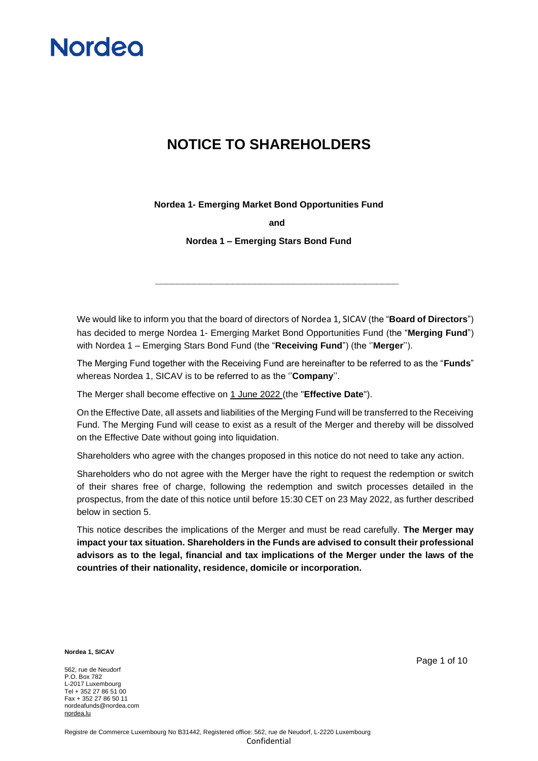

### **NOTICE TO SHAREHOLDERS**

**Nordea 1- Emerging Market Bond Opportunities Fund**

**and**

**Nordea 1 – Emerging Stars Bond Fund**

We would like to inform you that the board of directors of Nordea 1, SICAV (the "**Board of Directors**") has decided to merge Nordea 1- Emerging Market Bond Opportunities Fund (the "**Merging Fund**") with Nordea 1 – Emerging Stars Bond Fund (the "**Receiving Fund**") (the ''**Merger**'').

**\_\_\_\_\_\_\_\_\_\_\_\_\_\_\_\_\_\_\_\_\_\_\_\_\_\_\_\_\_\_\_\_\_\_\_\_\_\_\_\_\_\_\_\_**

The Merging Fund together with the Receiving Fund are hereinafter to be referred to as the "**Funds**" whereas Nordea 1, SICAV is to be referred to as the ''**Company**''.

The Merger shall become effective on 1 June 2022 (the "**Effective Date**").

On the Effective Date, all assets and liabilities of the Merging Fund will be transferred to the Receiving Fund. The Merging Fund will cease to exist as a result of the Merger and thereby will be dissolved on the Effective Date without going into liquidation.

Shareholders who agree with the changes proposed in this notice do not need to take any action.

Shareholders who do not agree with the Merger have the right to request the redemption or switch of their shares free of charge, following the redemption and switch processes detailed in the prospectus, from the date of this notice until before 15:30 CET on 23 May 2022, as further described below in section 5.

This notice describes the implications of the Merger and must be read carefully. **The Merger may impact your tax situation. Shareholders in the Funds are advised to consult their professional advisors as to the legal, financial and tax implications of the Merger under the laws of the countries of their nationality, residence, domicile or incorporation.** 

**Nordea 1, SICAV**

562, rue de Neudorf P.O. Box 782 L-2017 Luxembourg Tel + 352 27 86 51 00 Fax + 352 27 86 50 11 nordeafunds@nordea.com [nordea.lu](http://www.nordea.lu/)

Page 1 of 10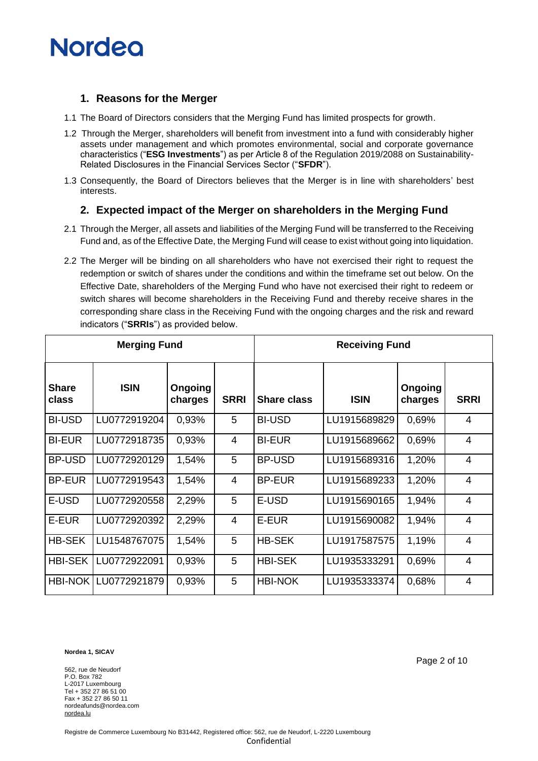## **Nordeo**

#### **1. Reasons for the Merger**

- 1.1 The Board of Directors considers that the Merging Fund has limited prospects for growth.
- 1.2 Through the Merger, shareholders will benefit from investment into a fund with considerably higher assets under management and which promotes environmental, social and corporate governance characteristics ("**ESG Investments**") as per Article 8 of the Regulation 2019/2088 on Sustainability-Related Disclosures in the Financial Services Sector ("**SFDR**").
- 1.3 Consequently, the Board of Directors believes that the Merger is in line with shareholders' best interests.

#### **2. Expected impact of the Merger on shareholders in the Merging Fund**

- 2.1 Through the Merger, all assets and liabilities of the Merging Fund will be transferred to the Receiving Fund and, as of the Effective Date, the Merging Fund will cease to exist without going into liquidation.
- 2.2 The Merger will be binding on all shareholders who have not exercised their right to request the redemption or switch of shares under the conditions and within the timeframe set out below. On the Effective Date, shareholders of the Merging Fund who have not exercised their right to redeem or switch shares will become shareholders in the Receiving Fund and thereby receive shares in the corresponding share class in the Receiving Fund with the ongoing charges and the risk and reward indicators ("**SRRIs**") as provided below.

| <b>Merging Fund</b>   |              |                           |                | <b>Receiving Fund</b> |              |                    |                |
|-----------------------|--------------|---------------------------|----------------|-----------------------|--------------|--------------------|----------------|
| <b>Share</b><br>class | <b>ISIN</b>  | <b>Ongoing</b><br>charges | <b>SRRI</b>    | <b>Share class</b>    | <b>ISIN</b>  | Ongoing<br>charges | <b>SRRI</b>    |
| <b>BI-USD</b>         | LU0772919204 | 0,93%                     | 5              | <b>BI-USD</b>         | LU1915689829 | 0,69%              | 4              |
| <b>BI-EUR</b>         | LU0772918735 | 0,93%                     | 4              | <b>BI-EUR</b>         | LU1915689662 | 0,69%              | $\overline{4}$ |
| <b>BP-USD</b>         | LU0772920129 | 1,54%                     | 5              | <b>BP-USD</b>         | LU1915689316 | 1,20%              | $\overline{4}$ |
| <b>BP-EUR</b>         | LU0772919543 | 1,54%                     | $\overline{4}$ | <b>BP-EUR</b>         | LU1915689233 | 1,20%              | 4              |
| E-USD                 | LU0772920558 | 2,29%                     | 5              | E-USD                 | LU1915690165 | 1,94%              | $\overline{4}$ |
| E-EUR                 | LU0772920392 | 2,29%                     | $\overline{4}$ | E-EUR                 | LU1915690082 | 1,94%              | $\overline{4}$ |
| <b>HB-SEK</b>         | LU1548767075 | 1,54%                     | 5              | <b>HB-SEK</b>         | LU1917587575 | 1,19%              | $\overline{4}$ |
| <b>HBI-SEK</b>        | LU0772922091 | 0,93%                     | 5              | <b>HBI-SEK</b>        | LU1935333291 | 0,69%              | 4              |
| <b>HBI-NOK</b>        | LU0772921879 | 0,93%                     | 5              | <b>HBI-NOK</b>        | LU1935333374 | 0,68%              | 4              |

**Nordea 1, SICAV**

562, rue de Neudorf P.O. Box 782 L-2017 Luxembourg Tel + 352 27 86 51 00 Fax + 352 27 86 50 11 nordeafunds@nordea.com [nordea.lu](http://www.nordea.lu/)

Page 2 of 10

Registre de Commerce Luxembourg No B31442, Registered office: 562, rue de Neudorf, L-2220 Luxembourg Confidential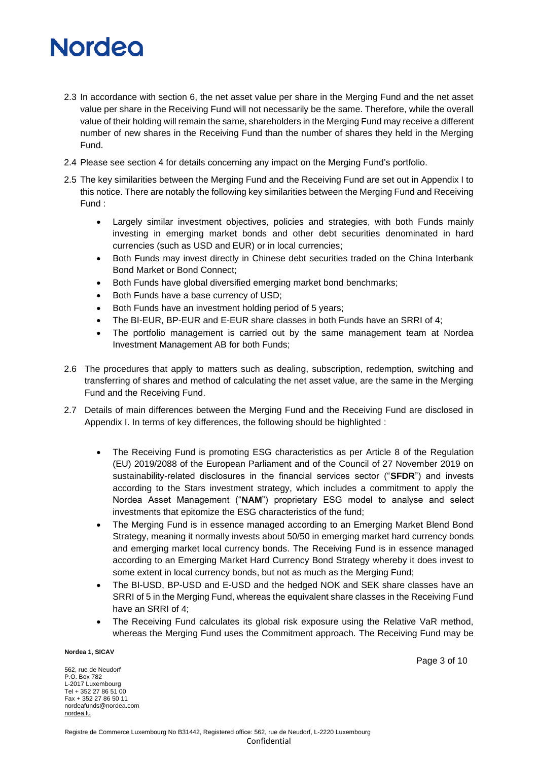# **Nordeo**

- 2.3 In accordance with section 6, the net asset value per share in the Merging Fund and the net asset value per share in the Receiving Fund will not necessarily be the same. Therefore, while the overall value of their holding will remain the same, shareholders in the Merging Fund may receive a different number of new shares in the Receiving Fund than the number of shares they held in the Merging Fund.
- 2.4 Please see section 4 for details concerning any impact on the Merging Fund's portfolio.
- 2.5 The key similarities between the Merging Fund and the Receiving Fund are set out in Appendix I to this notice. There are notably the following key similarities between the Merging Fund and Receiving Fund :
	- Largely similar investment objectives, policies and strategies, with both Funds mainly investing in emerging market bonds and other debt securities denominated in hard currencies (such as USD and EUR) or in local currencies;
	- Both Funds may invest directly in Chinese debt securities traded on the China Interbank Bond Market or Bond Connect;
	- Both Funds have global diversified emerging market bond benchmarks;
	- Both Funds have a base currency of USD;
	- Both Funds have an investment holding period of 5 years;
	- The BI-EUR, BP-EUR and E-EUR share classes in both Funds have an SRRI of 4;
	- The portfolio management is carried out by the same management team at Nordea Investment Management AB for both Funds;
- 2.6 The procedures that apply to matters such as dealing, subscription, redemption, switching and transferring of shares and method of calculating the net asset value, are the same in the Merging Fund and the Receiving Fund.
- 2.7 Details of main differences between the Merging Fund and the Receiving Fund are disclosed in Appendix I. In terms of key differences, the following should be highlighted :
	- The Receiving Fund is promoting ESG characteristics as per Article 8 of the Regulation (EU) 2019/2088 of the European Parliament and of the Council of 27 November 2019 on sustainability‐related disclosures in the financial services sector ("**SFDR**") and invests according to the Stars investment strategy, which includes a commitment to apply the Nordea Asset Management ("**NAM**") proprietary ESG model to analyse and select investments that epitomize the ESG characteristics of the fund;
	- The Merging Fund is in essence managed according to an Emerging Market Blend Bond Strategy, meaning it normally invests about 50/50 in emerging market hard currency bonds and emerging market local currency bonds. The Receiving Fund is in essence managed according to an Emerging Market Hard Currency Bond Strategy whereby it does invest to some extent in local currency bonds, but not as much as the Merging Fund;
	- The BI-USD, BP-USD and E-USD and the hedged NOK and SEK share classes have an SRRI of 5 in the Merging Fund, whereas the equivalent share classes in the Receiving Fund have an SRRI of 4;
	- The Receiving Fund calculates its global risk exposure using the Relative VaR method, whereas the Merging Fund uses the Commitment approach. The Receiving Fund may be

**Nordea 1, SICAV**

562, rue de Neudorf P.O. Box 782 L-2017 Luxembourg Tel + 352 27 86 51 00 Fax + 352 27 86 50 11 nordeafunds@nordea.com [nordea.lu](http://www.nordea.lu/)

Page 3 of 10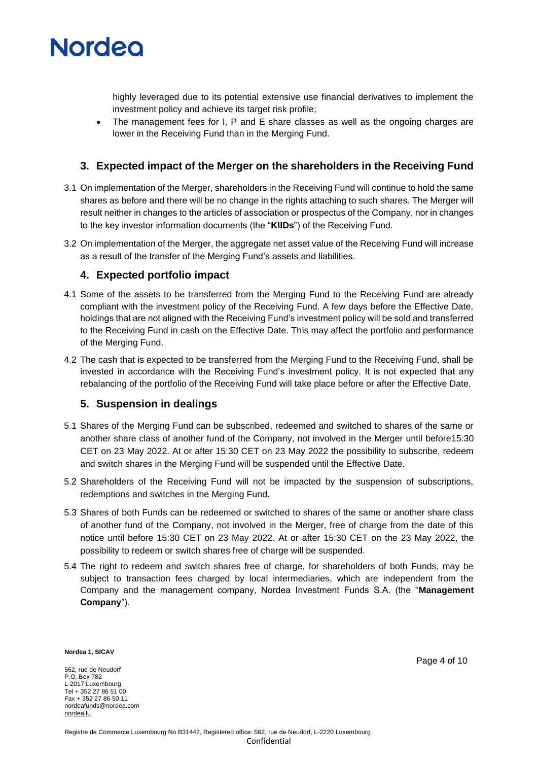

highly leveraged due to its potential extensive use financial derivatives to implement the investment policy and achieve its target risk profile;

• The management fees for I, P and E share classes as well as the ongoing charges are lower in the Receiving Fund than in the Merging Fund.

### **3. Expected impact of the Merger on the shareholders in the Receiving Fund**

- 3.1 On implementation of the Merger, shareholders in the Receiving Fund will continue to hold the same shares as before and there will be no change in the rights attaching to such shares. The Merger will result neither in changes to the articles of association or prospectus of the Company, nor in changes to the key investor information documents (the "**KIIDs**") of the Receiving Fund.
- 3.2 On implementation of the Merger, the aggregate net asset value of the Receiving Fund will increase as a result of the transfer of the Merging Fund's assets and liabilities.

#### **4. Expected portfolio impact**

- 4.1 Some of the assets to be transferred from the Merging Fund to the Receiving Fund are already compliant with the investment policy of the Receiving Fund. A few days before the Effective Date, holdings that are not aligned with the Receiving Fund's investment policy will be sold and transferred to the Receiving Fund in cash on the Effective Date. This may affect the portfolio and performance of the Merging Fund.
- 4.2 The cash that is expected to be transferred from the Merging Fund to the Receiving Fund, shall be invested in accordance with the Receiving Fund's investment policy. It is not expected that any rebalancing of the portfolio of the Receiving Fund will take place before or after the Effective Date.

#### **5. Suspension in dealings**

- 5.1 Shares of the Merging Fund can be subscribed, redeemed and switched to shares of the same or another share class of another fund of the Company, not involved in the Merger until before15:30 CET on 23 May 2022. At or after 15:30 CET on 23 May 2022 the possibility to subscribe, redeem and switch shares in the Merging Fund will be suspended until the Effective Date.
- 5.2 Shareholders of the Receiving Fund will not be impacted by the suspension of subscriptions, redemptions and switches in the Merging Fund.
- 5.3 Shares of both Funds can be redeemed or switched to shares of the same or another share class of another fund of the Company, not involved in the Merger, free of charge from the date of this notice until before 15:30 CET on 23 May 2022. At or after 15:30 CET on the 23 May 2022, the possibility to redeem or switch shares free of charge will be suspended.
- 5.4 The right to redeem and switch shares free of charge, for shareholders of both Funds, may be subject to transaction fees charged by local intermediaries, which are independent from the Company and the management company, Nordea Investment Funds S.A. (the "**Management Company**").

**Nordea 1, SICAV**

562, rue de Neudorf P.O. Box 782 L-2017 Luxembourg Tel + 352 27 86 51 00 Fax + 352 27 86 50 11 nordeafunds@nordea.com [nordea.lu](http://www.nordea.lu/)

Page 4 of 10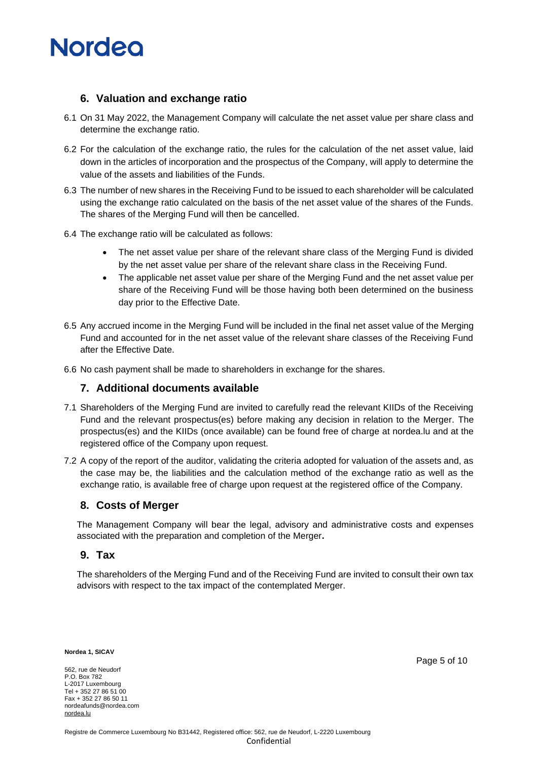

#### **6. Valuation and exchange ratio**

- 6.1 On 31 May 2022, the Management Company will calculate the net asset value per share class and determine the exchange ratio.
- 6.2 For the calculation of the exchange ratio, the rules for the calculation of the net asset value, laid down in the articles of incorporation and the prospectus of the Company, will apply to determine the value of the assets and liabilities of the Funds.
- 6.3 The number of new shares in the Receiving Fund to be issued to each shareholder will be calculated using the exchange ratio calculated on the basis of the net asset value of the shares of the Funds. The shares of the Merging Fund will then be cancelled.
- 6.4 The exchange ratio will be calculated as follows:
	- The net asset value per share of the relevant share class of the Merging Fund is divided by the net asset value per share of the relevant share class in the Receiving Fund.
	- The applicable net asset value per share of the Merging Fund and the net asset value per share of the Receiving Fund will be those having both been determined on the business day prior to the Effective Date.
- 6.5 Any accrued income in the Merging Fund will be included in the final net asset value of the Merging Fund and accounted for in the net asset value of the relevant share classes of the Receiving Fund after the Effective Date.
- 6.6 No cash payment shall be made to shareholders in exchange for the shares.

#### **7. Additional documents available**

- 7.1 Shareholders of the Merging Fund are invited to carefully read the relevant KIIDs of the Receiving Fund and the relevant prospectus(es) before making any decision in relation to the Merger. The prospectus(es) and the KIIDs (once available) can be found free of charge at nordea.lu and at the registered office of the Company upon request.
- 7.2 A copy of the report of the auditor, validating the criteria adopted for valuation of the assets and, as the case may be, the liabilities and the calculation method of the exchange ratio as well as the exchange ratio, is available free of charge upon request at the registered office of the Company.

#### **8. Costs of Merger**

The Management Company will bear the legal, advisory and administrative costs and expenses associated with the preparation and completion of the Merger**.** 

#### **9. Tax**

The shareholders of the Merging Fund and of the Receiving Fund are invited to consult their own tax advisors with respect to the tax impact of the contemplated Merger.

**Nordea 1, SICAV**

562, rue de Neudorf P.O. Box 782 L-2017 Luxembourg Tel + 352 27 86 51 00 Fax + 352 27 86 50 11 nordeafunds@nordea.com [nordea.lu](http://www.nordea.lu/)

Page 5 of 10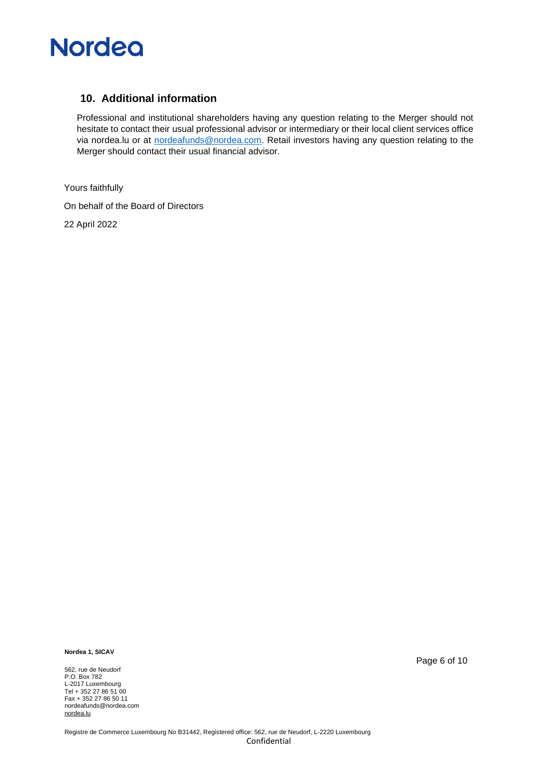

#### **10. Additional information**

Professional and institutional shareholders having any question relating to the Merger should not hesitate to contact their usual professional advisor or intermediary or their local client services office via nordea.lu or at [nordeafunds@nordea.com.](mailto:nordeafunds@nordea.com) Retail investors having any question relating to the Merger should contact their usual financial advisor.

Yours faithfully On behalf of the Board of Directors 22 April 2022

**Nordea 1, SICAV**

562, rue de Neudorf P.O. Box 782 L-2017 Luxembourg Tel + 352 27 86 51 00 Fax + 352 27 86 50 11 nordeafunds@nordea.com [nordea.lu](http://www.nordea.lu/)

Page 6 of 10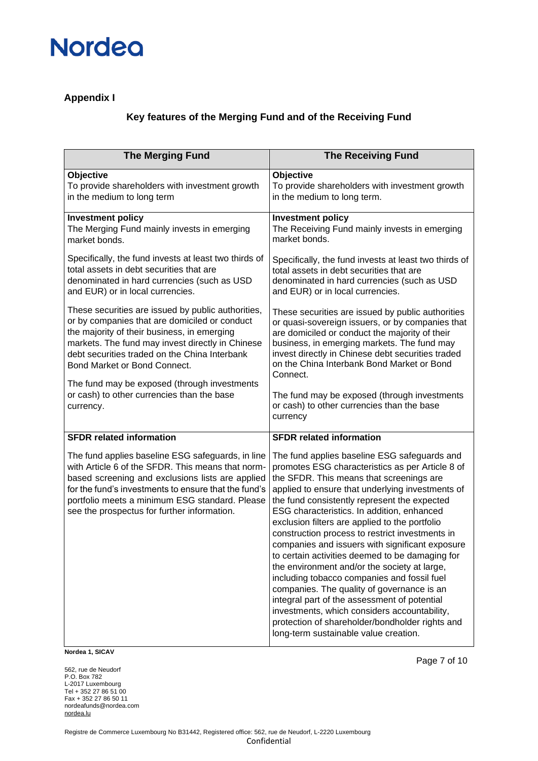### **Appendix I**

### **Key features of the Merging Fund and of the Receiving Fund**

| <b>The Merging Fund</b>                                                                                                                                                                                                                                                                                             | <b>The Receiving Fund</b>                                                                                                                                                                                                                                                                                                                                                                                                                                                                                                                                                                                                                                                                                                                                                                                                                          |  |  |  |
|---------------------------------------------------------------------------------------------------------------------------------------------------------------------------------------------------------------------------------------------------------------------------------------------------------------------|----------------------------------------------------------------------------------------------------------------------------------------------------------------------------------------------------------------------------------------------------------------------------------------------------------------------------------------------------------------------------------------------------------------------------------------------------------------------------------------------------------------------------------------------------------------------------------------------------------------------------------------------------------------------------------------------------------------------------------------------------------------------------------------------------------------------------------------------------|--|--|--|
| Objective                                                                                                                                                                                                                                                                                                           | Objective                                                                                                                                                                                                                                                                                                                                                                                                                                                                                                                                                                                                                                                                                                                                                                                                                                          |  |  |  |
| To provide shareholders with investment growth                                                                                                                                                                                                                                                                      | To provide shareholders with investment growth                                                                                                                                                                                                                                                                                                                                                                                                                                                                                                                                                                                                                                                                                                                                                                                                     |  |  |  |
| in the medium to long term                                                                                                                                                                                                                                                                                          | in the medium to long term.                                                                                                                                                                                                                                                                                                                                                                                                                                                                                                                                                                                                                                                                                                                                                                                                                        |  |  |  |
| <b>Investment policy</b>                                                                                                                                                                                                                                                                                            | <b>Investment policy</b>                                                                                                                                                                                                                                                                                                                                                                                                                                                                                                                                                                                                                                                                                                                                                                                                                           |  |  |  |
| The Merging Fund mainly invests in emerging                                                                                                                                                                                                                                                                         | The Receiving Fund mainly invests in emerging                                                                                                                                                                                                                                                                                                                                                                                                                                                                                                                                                                                                                                                                                                                                                                                                      |  |  |  |
| market bonds.                                                                                                                                                                                                                                                                                                       | market bonds.                                                                                                                                                                                                                                                                                                                                                                                                                                                                                                                                                                                                                                                                                                                                                                                                                                      |  |  |  |
| Specifically, the fund invests at least two thirds of                                                                                                                                                                                                                                                               | Specifically, the fund invests at least two thirds of                                                                                                                                                                                                                                                                                                                                                                                                                                                                                                                                                                                                                                                                                                                                                                                              |  |  |  |
| total assets in debt securities that are                                                                                                                                                                                                                                                                            | total assets in debt securities that are                                                                                                                                                                                                                                                                                                                                                                                                                                                                                                                                                                                                                                                                                                                                                                                                           |  |  |  |
| denominated in hard currencies (such as USD                                                                                                                                                                                                                                                                         | denominated in hard currencies (such as USD                                                                                                                                                                                                                                                                                                                                                                                                                                                                                                                                                                                                                                                                                                                                                                                                        |  |  |  |
| and EUR) or in local currencies.                                                                                                                                                                                                                                                                                    | and EUR) or in local currencies.                                                                                                                                                                                                                                                                                                                                                                                                                                                                                                                                                                                                                                                                                                                                                                                                                   |  |  |  |
| These securities are issued by public authorities,<br>or by companies that are domiciled or conduct<br>the majority of their business, in emerging<br>markets. The fund may invest directly in Chinese<br>debt securities traded on the China Interbank<br>Bond Market or Bond Connect.                             | These securities are issued by public authorities<br>or quasi-sovereign issuers, or by companies that<br>are domiciled or conduct the majority of their<br>business, in emerging markets. The fund may<br>invest directly in Chinese debt securities traded<br>on the China Interbank Bond Market or Bond<br>Connect.                                                                                                                                                                                                                                                                                                                                                                                                                                                                                                                              |  |  |  |
| The fund may be exposed (through investments                                                                                                                                                                                                                                                                        | The fund may be exposed (through investments                                                                                                                                                                                                                                                                                                                                                                                                                                                                                                                                                                                                                                                                                                                                                                                                       |  |  |  |
| or cash) to other currencies than the base                                                                                                                                                                                                                                                                          | or cash) to other currencies than the base                                                                                                                                                                                                                                                                                                                                                                                                                                                                                                                                                                                                                                                                                                                                                                                                         |  |  |  |
| currency.                                                                                                                                                                                                                                                                                                           | currency                                                                                                                                                                                                                                                                                                                                                                                                                                                                                                                                                                                                                                                                                                                                                                                                                                           |  |  |  |
| <b>SFDR related information</b>                                                                                                                                                                                                                                                                                     | <b>SFDR related information</b>                                                                                                                                                                                                                                                                                                                                                                                                                                                                                                                                                                                                                                                                                                                                                                                                                    |  |  |  |
| The fund applies baseline ESG safeguards, in line<br>with Article 6 of the SFDR. This means that norm-<br>based screening and exclusions lists are applied<br>for the fund's investments to ensure that the fund's<br>portfolio meets a minimum ESG standard. Please<br>see the prospectus for further information. | The fund applies baseline ESG safeguards and<br>promotes ESG characteristics as per Article 8 of<br>the SFDR. This means that screenings are<br>applied to ensure that underlying investments of<br>the fund consistently represent the expected<br>ESG characteristics. In addition, enhanced<br>exclusion filters are applied to the portfolio<br>construction process to restrict investments in<br>companies and issuers with significant exposure<br>to certain activities deemed to be damaging for<br>the environment and/or the society at large,<br>including tobacco companies and fossil fuel<br>companies. The quality of governance is an<br>integral part of the assessment of potential<br>investments, which considers accountability,<br>protection of shareholder/bondholder rights and<br>long-term sustainable value creation. |  |  |  |

**Nordea 1, SICAV**

562, rue de Neudorf P.O. Box 782 L-2017 Luxembourg Tel + 352 27 86 51 00 Fax + 352 27 86 50 11 nordeafunds@nordea.com [nordea.lu](http://www.nordea.lu/)

Page 7 of 10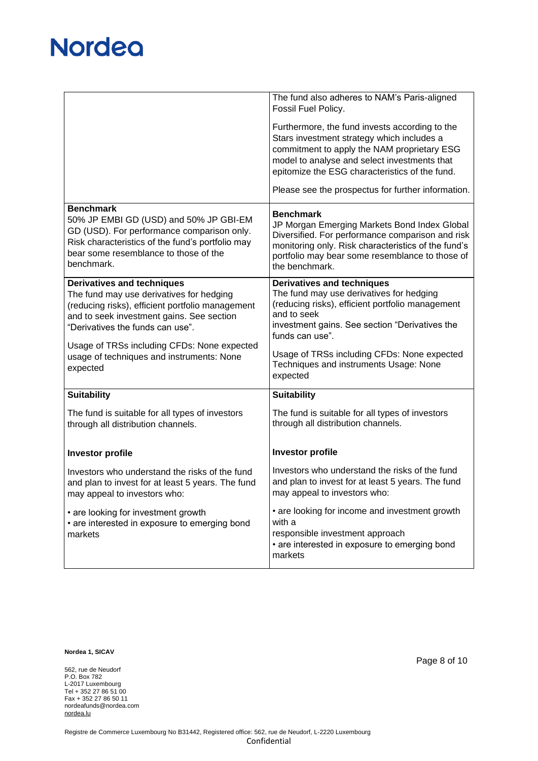|                                                                                                                                                                                                                                                                                                                            | The fund also adheres to NAM's Paris-aligned<br>Fossil Fuel Policy.                                                                                                                                                                                                                                                        |
|----------------------------------------------------------------------------------------------------------------------------------------------------------------------------------------------------------------------------------------------------------------------------------------------------------------------------|----------------------------------------------------------------------------------------------------------------------------------------------------------------------------------------------------------------------------------------------------------------------------------------------------------------------------|
|                                                                                                                                                                                                                                                                                                                            | Furthermore, the fund invests according to the<br>Stars investment strategy which includes a<br>commitment to apply the NAM proprietary ESG<br>model to analyse and select investments that<br>epitomize the ESG characteristics of the fund.<br>Please see the prospectus for further information.                        |
| <b>Benchmark</b>                                                                                                                                                                                                                                                                                                           |                                                                                                                                                                                                                                                                                                                            |
| 50% JP EMBI GD (USD) and 50% JP GBI-EM<br>GD (USD). For performance comparison only.<br>Risk characteristics of the fund's portfolio may<br>bear some resemblance to those of the<br>benchmark.                                                                                                                            | <b>Benchmark</b><br>JP Morgan Emerging Markets Bond Index Global<br>Diversified. For performance comparison and risk<br>monitoring only. Risk characteristics of the fund's<br>portfolio may bear some resemblance to those of<br>the benchmark.                                                                           |
| <b>Derivatives and techniques</b><br>The fund may use derivatives for hedging<br>(reducing risks), efficient portfolio management<br>and to seek investment gains. See section<br>"Derivatives the funds can use".<br>Usage of TRSs including CFDs: None expected<br>usage of techniques and instruments: None<br>expected | <b>Derivatives and techniques</b><br>The fund may use derivatives for hedging<br>(reducing risks), efficient portfolio management<br>and to seek<br>investment gains. See section "Derivatives the<br>funds can use".<br>Usage of TRSs including CFDs: None expected<br>Techniques and instruments Usage: None<br>expected |
| <b>Suitability</b>                                                                                                                                                                                                                                                                                                         | <b>Suitability</b>                                                                                                                                                                                                                                                                                                         |
| The fund is suitable for all types of investors<br>through all distribution channels.                                                                                                                                                                                                                                      | The fund is suitable for all types of investors<br>through all distribution channels.                                                                                                                                                                                                                                      |
| <b>Investor profile</b>                                                                                                                                                                                                                                                                                                    | <b>Investor profile</b>                                                                                                                                                                                                                                                                                                    |
| Investors who understand the risks of the fund<br>and plan to invest for at least 5 years. The fund<br>may appeal to investors who:                                                                                                                                                                                        | Investors who understand the risks of the fund<br>and plan to invest for at least 5 years. The fund<br>may appeal to investors who:                                                                                                                                                                                        |
| • are looking for investment growth<br>• are interested in exposure to emerging bond<br>markets                                                                                                                                                                                                                            | • are looking for income and investment growth<br>with a<br>responsible investment approach<br>• are interested in exposure to emerging bond<br>markets                                                                                                                                                                    |

**Nordea 1, SICAV**

562, rue de Neudorf P.O. Box 782 L-2017 Luxembourg Tel + 352 27 86 51 00 Fax + 352 27 86 50 11 nordeafunds@nordea.com [nordea.lu](http://www.nordea.lu/)

Page 8 of 10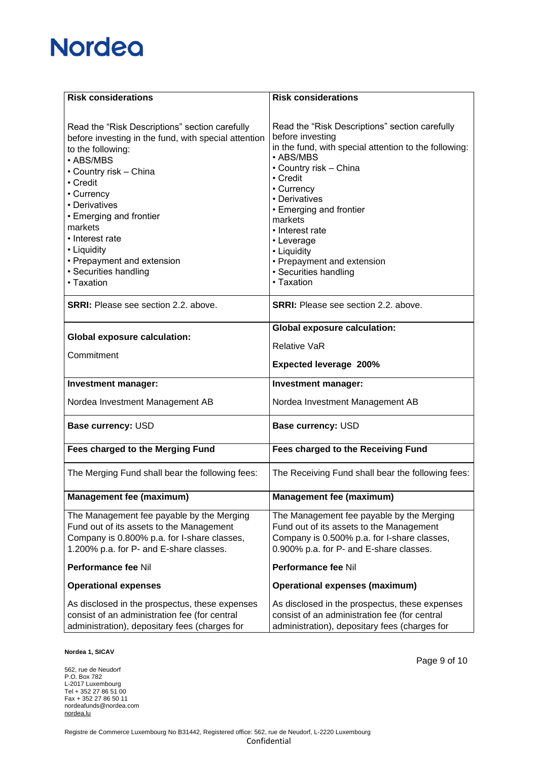| <b>Risk considerations</b>                                                                                                                                                                                                                                                                                                                                 | <b>Risk considerations</b>                                                                                                                                                                                                                                                                                                                                               |
|------------------------------------------------------------------------------------------------------------------------------------------------------------------------------------------------------------------------------------------------------------------------------------------------------------------------------------------------------------|--------------------------------------------------------------------------------------------------------------------------------------------------------------------------------------------------------------------------------------------------------------------------------------------------------------------------------------------------------------------------|
|                                                                                                                                                                                                                                                                                                                                                            |                                                                                                                                                                                                                                                                                                                                                                          |
| Read the "Risk Descriptions" section carefully<br>before investing in the fund, with special attention<br>to the following:<br>• ABS/MBS<br>• Country risk – China<br>• Credit<br>• Currency<br>• Derivatives<br>• Emerging and frontier<br>markets<br>• Interest rate<br>• Liquidity<br>• Prepayment and extension<br>• Securities handling<br>• Taxation | Read the "Risk Descriptions" section carefully<br>before investing<br>in the fund, with special attention to the following:<br>• ABS/MBS<br>• Country risk - China<br>• Credit<br>• Currency<br>• Derivatives<br>• Emerging and frontier<br>markets<br>• Interest rate<br>• Leverage<br>• Liquidity<br>• Prepayment and extension<br>• Securities handling<br>• Taxation |
| <b>SRRI:</b> Please see section 2.2, above.                                                                                                                                                                                                                                                                                                                | <b>SRRI:</b> Please see section 2.2. above.                                                                                                                                                                                                                                                                                                                              |
|                                                                                                                                                                                                                                                                                                                                                            | <b>Global exposure calculation:</b>                                                                                                                                                                                                                                                                                                                                      |
| <b>Global exposure calculation:</b>                                                                                                                                                                                                                                                                                                                        | <b>Relative VaR</b>                                                                                                                                                                                                                                                                                                                                                      |
| Commitment                                                                                                                                                                                                                                                                                                                                                 | <b>Expected leverage 200%</b>                                                                                                                                                                                                                                                                                                                                            |
| <b>Investment manager:</b>                                                                                                                                                                                                                                                                                                                                 | Investment manager:                                                                                                                                                                                                                                                                                                                                                      |
| Nordea Investment Management AB                                                                                                                                                                                                                                                                                                                            | Nordea Investment Management AB                                                                                                                                                                                                                                                                                                                                          |
| <b>Base currency: USD</b>                                                                                                                                                                                                                                                                                                                                  | Base currency: USD                                                                                                                                                                                                                                                                                                                                                       |
| Fees charged to the Merging Fund                                                                                                                                                                                                                                                                                                                           | Fees charged to the Receiving Fund                                                                                                                                                                                                                                                                                                                                       |
| The Merging Fund shall bear the following fees:                                                                                                                                                                                                                                                                                                            | The Receiving Fund shall bear the following fees:                                                                                                                                                                                                                                                                                                                        |
| <b>Management fee (maximum)</b>                                                                                                                                                                                                                                                                                                                            | <b>Management fee (maximum)</b>                                                                                                                                                                                                                                                                                                                                          |
| The Management fee payable by the Merging<br>Fund out of its assets to the Management<br>Company is 0.800% p.a. for I-share classes,<br>1.200% p.a. for P- and E-share classes.                                                                                                                                                                            | The Management fee payable by the Merging<br>Fund out of its assets to the Management<br>Company is 0.500% p.a. for I-share classes,<br>0.900% p.a. for P- and E-share classes.                                                                                                                                                                                          |
| Performance fee Nil                                                                                                                                                                                                                                                                                                                                        | Performance fee Nil                                                                                                                                                                                                                                                                                                                                                      |
| <b>Operational expenses</b>                                                                                                                                                                                                                                                                                                                                | <b>Operational expenses (maximum)</b>                                                                                                                                                                                                                                                                                                                                    |
| As disclosed in the prospectus, these expenses<br>consist of an administration fee (for central<br>administration), depositary fees (charges for                                                                                                                                                                                                           | As disclosed in the prospectus, these expenses<br>consist of an administration fee (for central<br>administration), depositary fees (charges for                                                                                                                                                                                                                         |

**Nordea 1, SICAV**

562, rue de Neudorf P.O. Box 782 L-2017 Luxembourg Tel + 352 27 86 51 00 Fax + 352 27 86 50 11 nordeafunds@nordea.com [nordea.lu](http://www.nordea.lu/)

Page 9 of 10